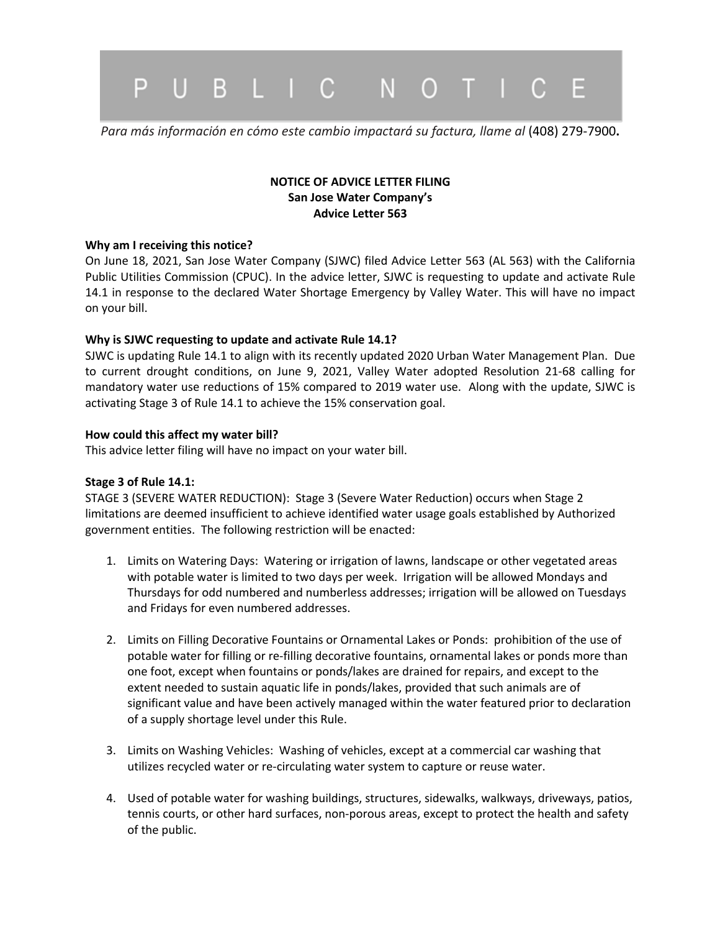

*Para más información en cómo este cambio impactará su factura, llame al* (408) 279-7900**.**

## **NOTICE OF ADVICE LETTER FILING San Jose Water Company's Advice Letter 563**

#### **Why am I receiving this notice?**

On June 18, 2021, San Jose Water Company (SJWC) filed Advice Letter 563 (AL 563) with the California Public Utilities Commission (CPUC). In the advice letter, SJWC is requesting to update and activate Rule 14.1 in response to the declared Water Shortage Emergency by Valley Water. This will have no impact on your bill.

#### **Why is SJWC requesting to update and activate Rule 14.1?**

SJWC is updating Rule 14.1 to align with its recently updated 2020 Urban Water Management Plan. Due to current drought conditions, on June 9, 2021, Valley Water adopted Resolution 21-68 calling for mandatory water use reductions of 15% compared to 2019 water use. Along with the update, SJWC is activating Stage 3 of Rule 14.1 to achieve the 15% conservation goal.

#### **How could this affect my water bill?**

This advice letter filing will have no impact on your water bill.

### **Stage 3 of Rule 14.1:**

STAGE 3 (SEVERE WATER REDUCTION): Stage 3 (Severe Water Reduction) occurs when Stage 2 limitations are deemed insufficient to achieve identified water usage goals established by Authorized government entities. The following restriction will be enacted:

- 1. Limits on Watering Days: Watering or irrigation of lawns, landscape or other vegetated areas with potable water is limited to two days per week. Irrigation will be allowed Mondays and Thursdays for odd numbered and numberless addresses; irrigation will be allowed on Tuesdays and Fridays for even numbered addresses.
- 2. Limits on Filling Decorative Fountains or Ornamental Lakes or Ponds: prohibition of the use of potable water for filling or re-filling decorative fountains, ornamental lakes or ponds more than one foot, except when fountains or ponds/lakes are drained for repairs, and except to the extent needed to sustain aquatic life in ponds/lakes, provided that such animals are of significant value and have been actively managed within the water featured prior to declaration of a supply shortage level under this Rule.
- 3. Limits on Washing Vehicles: Washing of vehicles, except at a commercial car washing that utilizes recycled water or re-circulating water system to capture or reuse water.
- 4. Used of potable water for washing buildings, structures, sidewalks, walkways, driveways, patios, tennis courts, or other hard surfaces, non-porous areas, except to protect the health and safety of the public.